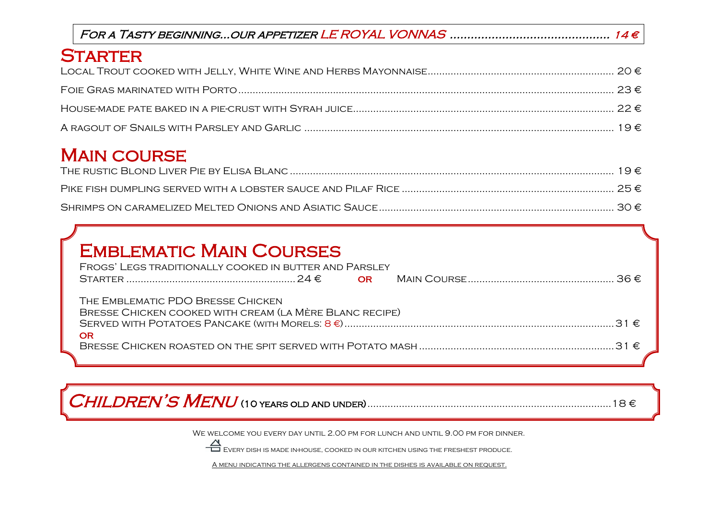| <b>STARTER</b> |  |
|----------------|--|
|                |  |
|                |  |
|                |  |
|                |  |

## **MAIN COURSE**

## Emblematic Main Courses

| FROGS' LEGS TRADITIONALLY COOKED IN BUTTER AND PARSLEY  |  |  |  |  |  |
|---------------------------------------------------------|--|--|--|--|--|
|                                                         |  |  |  |  |  |
|                                                         |  |  |  |  |  |
| THE EMBLEMATIC PDO BRESSE CHICKEN                       |  |  |  |  |  |
| BRESSE CHICKEN COOKED WITH CREAM (LA MÈRE BLANC RECIPE) |  |  |  |  |  |
|                                                         |  |  |  |  |  |
| OR                                                      |  |  |  |  |  |
|                                                         |  |  |  |  |  |
|                                                         |  |  |  |  |  |

Children's Menu (10 years old and under).....................................................................................18 €

WE WELCOME YOU EVERY DAY UNTIL 2.00 PM FOR LUNCH AND UNTIL 9.00 PM FOR DINNER.



A menu indicating the allergens contained in the dishes is available on request.